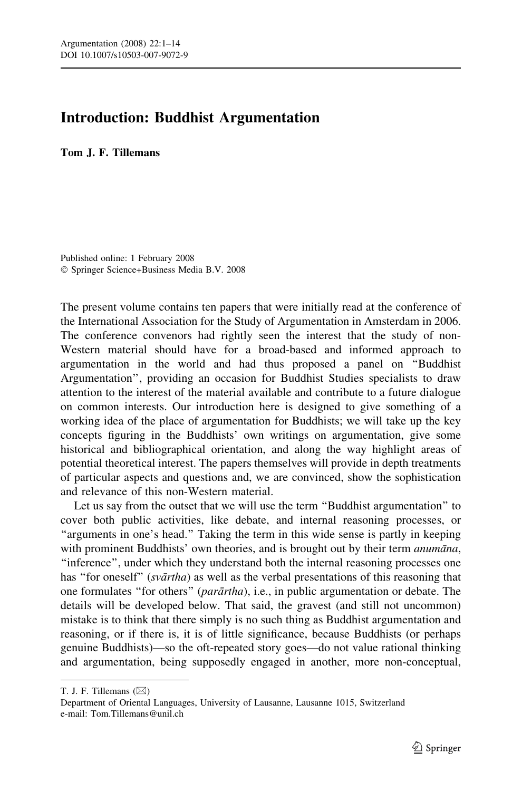## Introduction: Buddhist Argumentation

## Tom J. F. Tillemans

Published online: 1 February 2008 Springer Science+Business Media B.V. 2008

The present volume contains ten papers that were initially read at the conference of the International Association for the Study of Argumentation in Amsterdam in 2006. The conference convenors had rightly seen the interest that the study of non-Western material should have for a broad-based and informed approach to argumentation in the world and had thus proposed a panel on ''Buddhist Argumentation'', providing an occasion for Buddhist Studies specialists to draw attention to the interest of the material available and contribute to a future dialogue on common interests. Our introduction here is designed to give something of a working idea of the place of argumentation for Buddhists; we will take up the key concepts figuring in the Buddhists' own writings on argumentation, give some historical and bibliographical orientation, and along the way highlight areas of potential theoretical interest. The papers themselves will provide in depth treatments of particular aspects and questions and, we are convinced, show the sophistication and relevance of this non-Western material.

Let us say from the outset that we will use the term ''Buddhist argumentation'' to cover both public activities, like debate, and internal reasoning processes, or "arguments in one's head." Taking the term in this wide sense is partly in keeping with prominent Buddhists' own theories, and is brought out by their term *anumāna*, ''inference'', under which they understand both the internal reasoning processes one has "for oneself" (svārtha) as well as the verbal presentations of this reasoning that one formulates "for others" (parārtha), i.e., in public argumentation or debate. The details will be developed below. That said, the gravest (and still not uncommon) mistake is to think that there simply is no such thing as Buddhist argumentation and reasoning, or if there is, it is of little significance, because Buddhists (or perhaps genuine Buddhists)—so the oft-repeated story goes—do not value rational thinking and argumentation, being supposedly engaged in another, more non-conceptual,

T. J. F. Tillemans  $(\boxtimes)$ 

Department of Oriental Languages, University of Lausanne, Lausanne 1015, Switzerland e-mail: Tom.Tillemans@unil.ch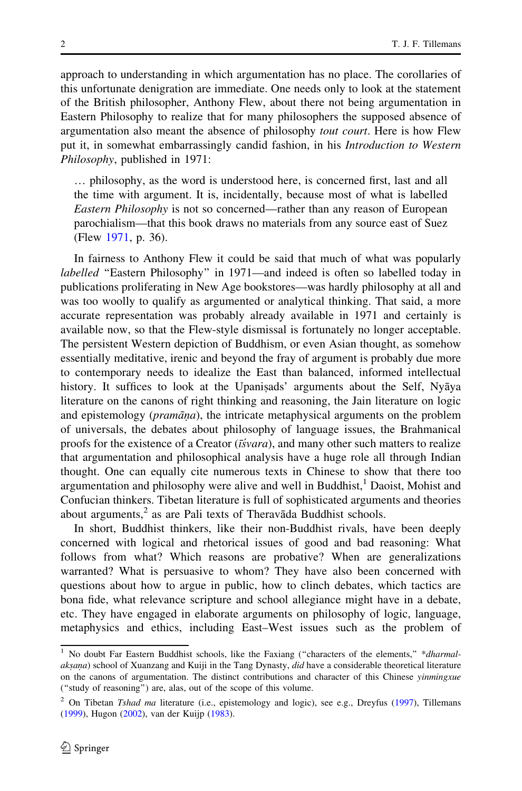approach to understanding in which argumentation has no place. The corollaries of this unfortunate denigration are immediate. One needs only to look at the statement of the British philosopher, Anthony Flew, about there not being argumentation in Eastern Philosophy to realize that for many philosophers the supposed absence of argumentation also meant the absence of philosophy tout court. Here is how Flew put it, in somewhat embarrassingly candid fashion, in his *Introduction to Western* Philosophy, published in 1971:

… philosophy, as the word is understood here, is concerned first, last and all the time with argument. It is, incidentally, because most of what is labelled Eastern Philosophy is not so concerned—rather than any reason of European parochialism—that this book draws no materials from any source east of Suez (Flew [1971,](#page-12-0) p. 36).

In fairness to Anthony Flew it could be said that much of what was popularly labelled "Eastern Philosophy" in 1971—and indeed is often so labelled today in publications proliferating in New Age bookstores—was hardly philosophy at all and was too woolly to qualify as argumented or analytical thinking. That said, a more accurate representation was probably already available in 1971 and certainly is available now, so that the Flew-style dismissal is fortunately no longer acceptable. The persistent Western depiction of Buddhism, or even Asian thought, as somehow essentially meditative, irenic and beyond the fray of argument is probably due more to contemporary needs to idealize the East than balanced, informed intellectual history. It suffices to look at the Upanisads' arguments about the Self, Nyaya literature on the canons of right thinking and reasoning, the Jain literature on logic and epistemology (*pramāna*), the intricate metaphysical arguments on the problem of universals, the debates about philosophy of language issues, the Brahmanical proofs for the existence of a Creator ( $\vec{ts}vara$ ), and many other such matters to realize that argumentation and philosophical analysis have a huge role all through Indian thought. One can equally cite numerous texts in Chinese to show that there too argumentation and philosophy were alive and well in Buddhist, $<sup>1</sup>$  Daoist, Mohist and</sup> Confucian thinkers. Tibetan literature is full of sophisticated arguments and theories about arguments, $2$  as are Pali texts of Theravada Buddhist schools.

In short, Buddhist thinkers, like their non-Buddhist rivals, have been deeply concerned with logical and rhetorical issues of good and bad reasoning: What follows from what? Which reasons are probative? When are generalizations warranted? What is persuasive to whom? They have also been concerned with questions about how to argue in public, how to clinch debates, which tactics are bona fide, what relevance scripture and school allegiance might have in a debate, etc. They have engaged in elaborate arguments on philosophy of logic, language, metaphysics and ethics, including East–West issues such as the problem of

<sup>&</sup>lt;sup>1</sup> No doubt Far Eastern Buddhist schools, like the Faxiang ("characters of the elements," \*dharmalaksana) school of Xuanzang and Kuiji in the Tang Dynasty, did have a considerable theoretical literature on the canons of argumentation. The distinct contributions and character of this Chinese yinmingxue (''study of reasoning'') are, alas, out of the scope of this volume.

<sup>&</sup>lt;sup>2</sup> On Tibetan Tshad ma literature (i.e., epistemology and logic), see e.g., Dreyfus [\(1997](#page-12-0)), Tillemans ([1999\)](#page-13-0), Hugon ([2002\)](#page-12-0), van der Kuijp [\(1983](#page-13-0)).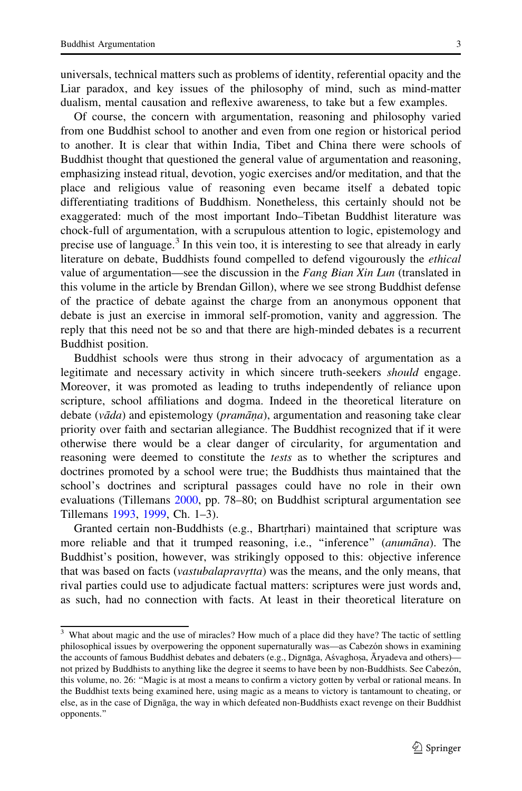Of course, the concern with argumentation, reasoning and philosophy varied from one Buddhist school to another and even from one region or historical period to another. It is clear that within India, Tibet and China there were schools of Buddhist thought that questioned the general value of argumentation and reasoning, emphasizing instead ritual, devotion, yogic exercises and/or meditation, and that the place and religious value of reasoning even became itself a debated topic differentiating traditions of Buddhism. Nonetheless, this certainly should not be exaggerated: much of the most important Indo–Tibetan Buddhist literature was chock-full of argumentation, with a scrupulous attention to logic, epistemology and precise use of language.<sup>3</sup> In this vein too, it is interesting to see that already in early literature on debate, Buddhists found compelled to defend vigourously the ethical value of argumentation—see the discussion in the Fang Bian Xin Lun (translated in this volume in the article by Brendan Gillon), where we see strong Buddhist defense of the practice of debate against the charge from an anonymous opponent that debate is just an exercise in immoral self-promotion, vanity and aggression. The reply that this need not be so and that there are high-minded debates is a recurrent Buddhist position.

Buddhist schools were thus strong in their advocacy of argumentation as a legitimate and necessary activity in which sincere truth-seekers *should* engage. Moreover, it was promoted as leading to truths independently of reliance upon scripture, school affiliations and dogma. Indeed in the theoretical literature on debate ( $v\bar{a}da$ ) and epistemology ( $pram\bar{a}na$ ), argumentation and reasoning take clear priority over faith and sectarian allegiance. The Buddhist recognized that if it were otherwise there would be a clear danger of circularity, for argumentation and reasoning were deemed to constitute the tests as to whether the scriptures and doctrines promoted by a school were true; the Buddhists thus maintained that the school's doctrines and scriptural passages could have no role in their own evaluations (Tillemans [2000,](#page-13-0) pp. 78–80; on Buddhist scriptural argumentation see Tillemans [1993](#page-13-0), [1999](#page-13-0), Ch. 1–3).

Granted certain non-Buddhists (e.g., Bhartrhari) maintained that scripture was more reliable and that it trumped reasoning, i.e., "inference" (anumāna). The Buddhist's position, however, was strikingly opposed to this: objective inference that was based on facts (*vastubalapravrtta*) was the means, and the only means, that rival parties could use to adjudicate factual matters: scriptures were just words and, as such, had no connection with facts. At least in their theoretical literature on

<sup>&</sup>lt;sup>3</sup> What about magic and the use of miracles? How much of a place did they have? The tactic of settling philosophical issues by overpowering the opponent supernaturally was—as Cabezón shows in examining the accounts of famous Buddhist debates and debaters (e.g., Dignaga, Aśvaghosa, Aryadeva and others) not prized by Buddhists to anything like the degree it seems to have been by non-Buddhists. See Cabezon, this volume, no. 26: ''Magic is at most a means to confirm a victory gotten by verbal or rational means. In the Buddhist texts being examined here, using magic as a means to victory is tantamount to cheating, or else, as in the case of Dignaga, the way in which defeated non-Buddhists exact revenge on their Buddhist opponents.''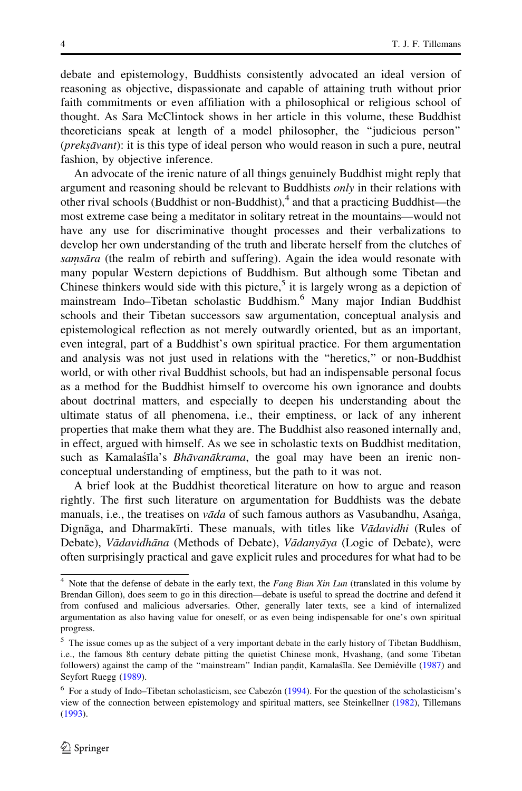debate and epistemology, Buddhists consistently advocated an ideal version of reasoning as objective, dispassionate and capable of attaining truth without prior faith commitments or even affiliation with a philosophical or religious school of thought. As Sara McClintock shows in her article in this volume, these Buddhist theoreticians speak at length of a model philosopher, the ''judicious person''  $(preks\bar{a}vant)$ : it is this type of ideal person who would reason in such a pure, neutral fashion, by objective inference.

An advocate of the irenic nature of all things genuinely Buddhist might reply that argument and reasoning should be relevant to Buddhists only in their relations with other rival schools (Buddhist or non-Buddhist), $4$  and that a practicing Buddhist—the most extreme case being a meditator in solitary retreat in the mountains—would not have any use for discriminative thought processes and their verbalizations to develop her own understanding of the truth and liberate herself from the clutches of samsāra (the realm of rebirth and suffering). Again the idea would resonate with many popular Western depictions of Buddhism. But although some Tibetan and Chinese thinkers would side with this picture,<sup>5</sup> it is largely wrong as a depiction of mainstream Indo–Tibetan scholastic Buddhism.<sup>6</sup> Many major Indian Buddhist schools and their Tibetan successors saw argumentation, conceptual analysis and epistemological reflection as not merely outwardly oriented, but as an important, even integral, part of a Buddhist's own spiritual practice. For them argumentation and analysis was not just used in relations with the ''heretics,'' or non-Buddhist world, or with other rival Buddhist schools, but had an indispensable personal focus as a method for the Buddhist himself to overcome his own ignorance and doubts about doctrinal matters, and especially to deepen his understanding about the ultimate status of all phenomena, i.e., their emptiness, or lack of any inherent properties that make them what they are. The Buddhist also reasoned internally and, in effect, argued with himself. As we see in scholastic texts on Buddhist meditation, such as Kamalas´īla's Bhāvanākrama, the goal may have been an irenic nonconceptual understanding of emptiness, but the path to it was not.

A brief look at the Buddhist theoretical literature on how to argue and reason rightly. The first such literature on argumentation for Buddhists was the debate manuals, i.e., the treatises on  $v\bar{a}da$  of such famous authors as Vasubandhu, Asanga, Dignāga, and Dharmakīrti. These manuals, with titles like Vādavidhi (Rules of Debate), Vādavidhāna (Methods of Debate), Vādanyāya (Logic of Debate), were often surprisingly practical and gave explicit rules and procedures for what had to be

<sup>&</sup>lt;sup>4</sup> Note that the defense of debate in the early text, the Fang Bian Xin Lun (translated in this volume by Brendan Gillon), does seem to go in this direction—debate is useful to spread the doctrine and defend it from confused and malicious adversaries. Other, generally later texts, see a kind of internalized argumentation as also having value for oneself, or as even being indispensable for one's own spiritual progress.

<sup>&</sup>lt;sup>5</sup> The issue comes up as the subject of a very important debate in the early history of Tibetan Buddhism, i.e., the famous 8th century debate pitting the quietist Chinese monk, Hvashang, (and some Tibetan followers) against the camp of the "mainstream" Indian pandit, Kamalas´īla. See Demiéville ([1987\)](#page-12-0) and Seyfort Ruegg [\(1989](#page-13-0)).

 $6$  For a study of Indo–Tibetan scholasticism, see Cabezón [\(1994](#page-12-0)). For the question of the scholasticism's view of the connection between epistemology and spiritual matters, see Steinkellner [\(1982\)](#page-13-0), Tillemans ([1993\)](#page-13-0).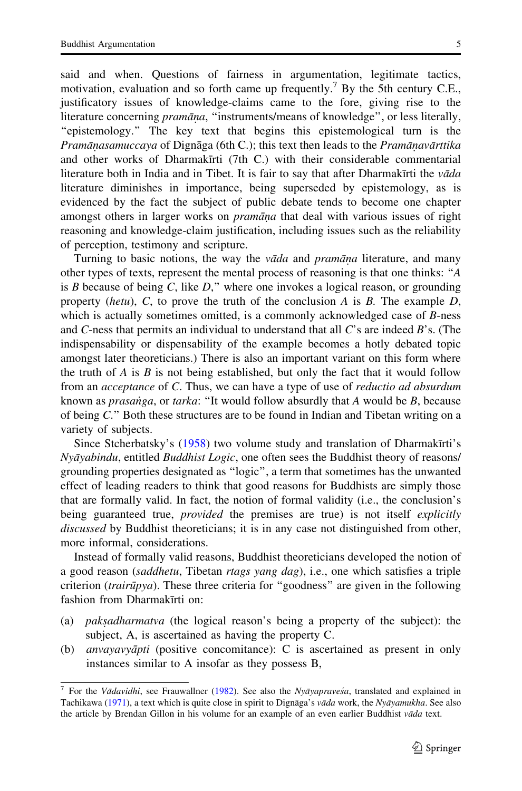said and when. Questions of fairness in argumentation, legitimate tactics, motivation, evaluation and so forth came up frequently.<sup>7</sup> By the 5th century C.E., justificatory issues of knowledge-claims came to the fore, giving rise to the literature concerning *pramāna*, "instruments/means of knowledge", or less literally, "epistemology." The key text that begins this epistemological turn is the *Pramānasamuccaya* of Dignāga (6th C.); this text then leads to the *Pramānavārttika* and other works of Dharmakīrti (7th C.) with their considerable commentarial literature both in India and in Tibet. It is fair to say that after Dharmakūrti the  $v\bar{a}da$ literature diminishes in importance, being superseded by epistemology, as is evidenced by the fact the subject of public debate tends to become one chapter amongst others in larger works on *pramana* that deal with various issues of right reasoning and knowledge-claim justification, including issues such as the reliability of perception, testimony and scripture.

Turning to basic notions, the way the vada and pramana literature, and many other types of texts, represent the mental process of reasoning is that one thinks: ''A is B because of being C, like D," where one invokes a logical reason, or grounding property (hetu),  $C$ , to prove the truth of the conclusion  $A$  is  $B$ . The example  $D$ , which is actually sometimes omitted, is a commonly acknowledged case of  $B$ -ness and  $C$ -ness that permits an individual to understand that all  $C$ 's are indeed  $B$ 's. (The indispensability or dispensability of the example becomes a hotly debated topic amongst later theoreticians.) There is also an important variant on this form where the truth of  $\vec{A}$  is  $\vec{B}$  is not being established, but only the fact that it would follow from an *acceptance* of C. Thus, we can have a type of use of *reductio ad absurdum* known as *prasanga*, or *tarka*: "It would follow absurdly that A would be  $B$ , because of being C.'' Both these structures are to be found in Indian and Tibetan writing on a variety of subjects.

Since Stcherbatsky's ([1958\)](#page-13-0) two volume study and translation of Dharmakūrti's  $Ny\bar{a}y$ abindu, entitled Buddhist Logic, one often sees the Buddhist theory of reasons/ grounding properties designated as ''logic'', a term that sometimes has the unwanted effect of leading readers to think that good reasons for Buddhists are simply those that are formally valid. In fact, the notion of formal validity (i.e., the conclusion's being guaranteed true, *provided* the premises are true) is not itself *explicitly* discussed by Buddhist theoreticians; it is in any case not distinguished from other, more informal, considerations.

Instead of formally valid reasons, Buddhist theoreticians developed the notion of a good reason (saddhetu, Tibetan rtags yang dag), i.e., one which satisfies a triple criterion (trairupya). These three criteria for "goodness" are given in the following fashion from Dharmakīrti on:

- (a) *paksadharmatva* (the logical reason's being a property of the subject): the subject, A, is ascertained as having the property C.
- (b) *anvayavyāpti* (positive concomitance): C is ascertained as present in only instances similar to A insofar as they possess B,

<sup>&</sup>lt;sup>7</sup> For the Vādavidhi, see Frauwallner ([1982\)](#page-12-0). See also the Nyāyapravesća, translated and explained in Tachikawa ([1971\)](#page-13-0), a text which is quite close in spirit to Dignaga's vada work, the Nyayamukha. See also the article by Brendan Gillon in his volume for an example of an even earlier Buddhist  $v\bar{a}da$  text.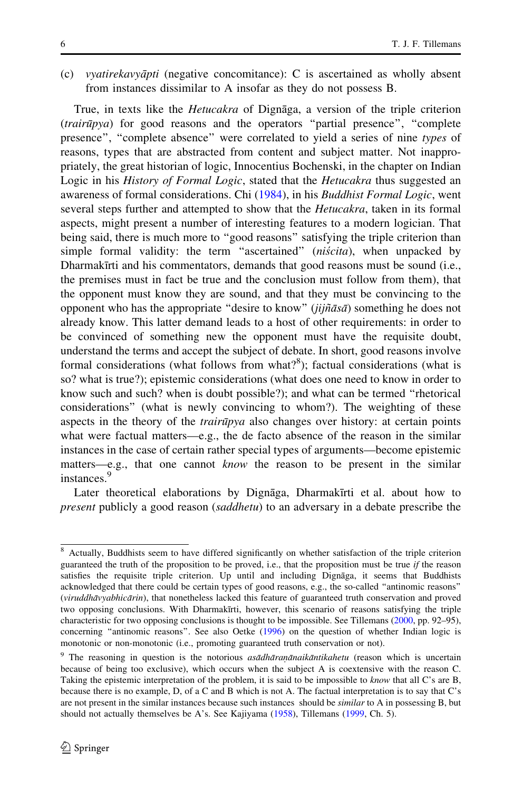(c) vyatirekavya $\bar{p}$ ti (negative concomitance): C is ascertained as wholly absent from instances dissimilar to A insofar as they do not possess B.

True, in texts like the *Hetucakra* of Dignaga, a version of the triple criterion  $(trair\overline{u}pya)$  for good reasons and the operators "partial presence", "complete presence'', ''complete absence'' were correlated to yield a series of nine types of reasons, types that are abstracted from content and subject matter. Not inappropriately, the great historian of logic, Innocentius Bochenski, in the chapter on Indian Logic in his *History of Formal Logic*, stated that the *Hetucakra* thus suggested an awareness of formal considerations. Chi ([1984\)](#page-12-0), in his Buddhist Formal Logic, went several steps further and attempted to show that the *Hetucakra*, taken in its formal aspects, might present a number of interesting features to a modern logician. That being said, there is much more to "good reasons" satisfying the triple criterion than simple formal validity: the term "ascertained" (niscita), when unpacked by Dharmakīrti and his commentators, demands that good reasons must be sound (i.e., the premises must in fact be true and the conclusion must follow from them), that the opponent must know they are sound, and that they must be convincing to the opponent who has the appropriate "desire to know" ( $iiji\tilde{a}s\tilde{a}$ ) something he does not already know. This latter demand leads to a host of other requirements: in order to be convinced of something new the opponent must have the requisite doubt, understand the terms and accept the subject of debate. In short, good reasons involve formal considerations (what follows from what?<sup>8</sup>); factual considerations (what is so? what is true?); epistemic considerations (what does one need to know in order to know such and such? when is doubt possible?); and what can be termed ''rhetorical considerations'' (what is newly convincing to whom?). The weighting of these aspects in the theory of the *trairupya* also changes over history: at certain points what were factual matters—e.g., the de facto absence of the reason in the similar instances in the case of certain rather special types of arguments—become epistemic matters—e.g., that one cannot *know* the reason to be present in the similar instances.<sup>9</sup>

Later theoretical elaborations by Dignāga, Dharmakīrti et al. about how to present publicly a good reason (saddhetu) to an adversary in a debate prescribe the

<sup>&</sup>lt;sup>8</sup> Actually, Buddhists seem to have differed significantly on whether satisfaction of the triple criterion guaranteed the truth of the proposition to be proved, i.e., that the proposition must be true if the reason satisfies the requisite triple criterion. Up until and including Dignaga, it seems that Buddhists acknowledged that there could be certain types of good reasons, e.g., the so-called ''antinomic reasons'' (viruddhāvyabhicārin), that nonetheless lacked this feature of guaranteed truth conservation and proved two opposing conclusions. With Dharmakīrti, however, this scenario of reasons satisfying the triple characteristic for two opposing conclusions is thought to be impossible. See Tillemans ([2000,](#page-13-0) pp. 92–95), concerning ''antinomic reasons''. See also Oetke [\(1996](#page-13-0)) on the question of whether Indian logic is monotonic or non-monotonic (i.e., promoting guaranteed truth conservation or not).

 $9$  The reasoning in question is the notorious asādhāranānaikāntikahetu (reason which is uncertain because of being too exclusive), which occurs when the subject A is coextensive with the reason C. Taking the epistemic interpretation of the problem, it is said to be impossible to *know* that all C's are B, because there is no example, D, of a C and B which is not A. The factual interpretation is to say that C's are not present in the similar instances because such instances should be *similar* to A in possessing B, but should not actually themselves be A's. See Kajiyama ([1958](#page-12-0)), Tillemans ([1999,](#page-13-0) Ch. 5).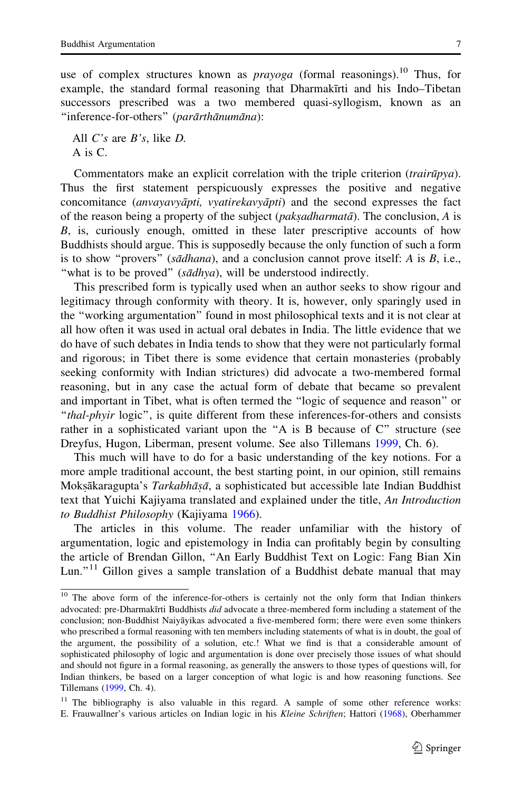use of complex structures known as  $prayoga$  (formal reasonings).<sup>10</sup> Thus, for example, the standard formal reasoning that Dharmakīrti and his Indo–Tibetan successors prescribed was a two membered quasi-syllogism, known as an "inference-for-others" (parārthānumāna):

All C's are B's, like D. A is C.

Commentators make an explicit correlation with the triple criterion (*trairupva*). Thus the first statement perspicuously expresses the positive and negative concomitance (anvayavyāpti, vyatirekavyāpti) and the second expresses the fact of the reason being a property of the subject (*paksadharmata*<sup> $\bar{a}$ </sup>). The conclusion, A is B, is, curiously enough, omitted in these later prescriptive accounts of how Buddhists should argue. This is supposedly because the only function of such a form is to show "provers" (sādhana), and a conclusion cannot prove itself: A is  $B$ , i.e., "what is to be proved" (sādhya), will be understood indirectly.

This prescribed form is typically used when an author seeks to show rigour and legitimacy through conformity with theory. It is, however, only sparingly used in the ''working argumentation'' found in most philosophical texts and it is not clear at all how often it was used in actual oral debates in India. The little evidence that we do have of such debates in India tends to show that they were not particularly formal and rigorous; in Tibet there is some evidence that certain monasteries (probably seeking conformity with Indian strictures) did advocate a two-membered formal reasoning, but in any case the actual form of debate that became so prevalent and important in Tibet, what is often termed the ''logic of sequence and reason'' or ''thal-phyir logic'', is quite different from these inferences-for-others and consists rather in a sophisticated variant upon the "A is B because of C" structure (see Dreyfus, Hugon, Liberman, present volume. See also Tillemans [1999](#page-13-0), Ch. 6).

This much will have to do for a basic understanding of the key notions. For a more ample traditional account, the best starting point, in our opinion, still remains Moksākaragupta's Tarkabhāṣā, a sophisticated but accessible late Indian Buddhist text that Yuichi Kajiyama translated and explained under the title, An Introduction to Buddhist Philosophy (Kajiyama [1966\)](#page-12-0).

The articles in this volume. The reader unfamiliar with the history of argumentation, logic and epistemology in India can profitably begin by consulting the article of Brendan Gillon, ''An Early Buddhist Text on Logic: Fang Bian Xin Lun."<sup>11</sup> Gillon gives a sample translation of a Buddhist debate manual that may

<sup>&</sup>lt;sup>10</sup> The above form of the inference-for-others is certainly not the only form that Indian thinkers advocated: pre-Dharmakīrti Buddhists *did* advocate a three-membered form including a statement of the conclusion; non-Buddhist Naiyāyikas advocated a five-membered form; there were even some thinkers who prescribed a formal reasoning with ten members including statements of what is in doubt, the goal of the argument, the possibility of a solution, etc.! What we find is that a considerable amount of sophisticated philosophy of logic and argumentation is done over precisely those issues of what should and should not figure in a formal reasoning, as generally the answers to those types of questions will, for Indian thinkers, be based on a larger conception of what logic is and how reasoning functions. See Tillemans [\(1999](#page-13-0), Ch. 4).

<sup>&</sup>lt;sup>11</sup> The bibliography is also valuable in this regard. A sample of some other reference works: E. Frauwallner's various articles on Indian logic in his Kleine Schriften; Hattori ([1968\)](#page-12-0), Oberhammer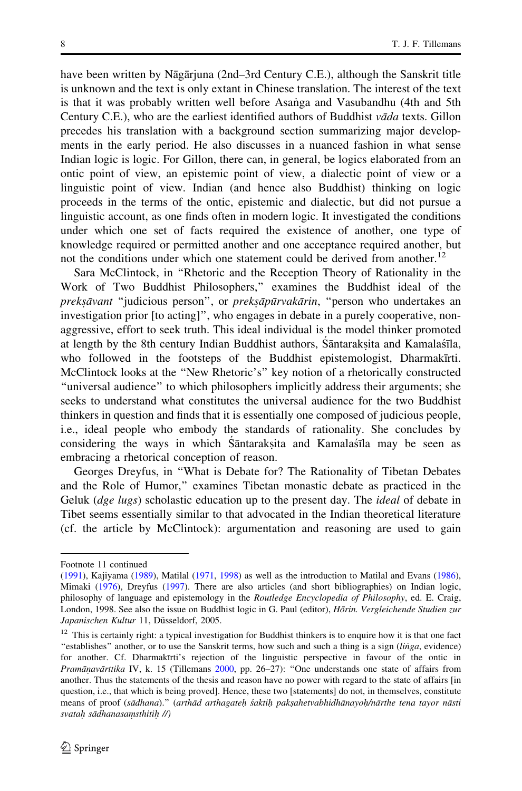have been written by Nāgārjuna (2nd–3rd Century C.E.), although the Sanskrit title is unknown and the text is only extant in Chinese translation. The interest of the text is that it was probably written well before Asanga and Vasubandhu (4th and 5th \_ Century C.E.), who are the earliest identified authors of Buddhist  $v\bar{a}da$  texts. Gillon precedes his translation with a background section summarizing major developments in the early period. He also discusses in a nuanced fashion in what sense Indian logic is logic. For Gillon, there can, in general, be logics elaborated from an ontic point of view, an epistemic point of view, a dialectic point of view or a linguistic point of view. Indian (and hence also Buddhist) thinking on logic proceeds in the terms of the ontic, epistemic and dialectic, but did not pursue a linguistic account, as one finds often in modern logic. It investigated the conditions under which one set of facts required the existence of another, one type of knowledge required or permitted another and one acceptance required another, but not the conditions under which one statement could be derived from another.<sup>12</sup>

Sara McClintock, in ''Rhetoric and the Reception Theory of Rationality in the Work of Two Buddhist Philosophers,'' examines the Buddhist ideal of the preksāvant "judicious person", or preksāpūrvakārin, "person who undertakes an investigation prior [to acting]'', who engages in debate in a purely cooperative, nonaggressive, effort to seek truth. This ideal individual is the model thinker promoted at length by the 8th century Indian Buddhist authors, Sāntaraksita and Kamalas´īla, who followed in the footsteps of the Buddhist epistemologist, Dharmakīrti. McClintock looks at the ''New Rhetoric's'' key notion of a rhetorically constructed ''universal audience'' to which philosophers implicitly address their arguments; she seeks to understand what constitutes the universal audience for the two Buddhist thinkers in question and finds that it is essentially one composed of judicious people, i.e., ideal people who embody the standards of rationality. She concludes by considering the ways in which Sāntaraksita and Kamalas´īla may be seen as embracing a rhetorical conception of reason.

Georges Dreyfus, in ''What is Debate for? The Rationality of Tibetan Debates and the Role of Humor,'' examines Tibetan monastic debate as practiced in the Geluk (dge lugs) scholastic education up to the present day. The *ideal* of debate in Tibet seems essentially similar to that advocated in the Indian theoretical literature (cf. the article by McClintock): argumentation and reasoning are used to gain

Footnote 11 continued

<sup>(</sup>[1991\)](#page-13-0), Kajiyama [\(1989\)](#page-12-0), Matilal [\(1971](#page-13-0), [1998\)](#page-13-0) as well as the introduction to Matilal and Evans ([1986\)](#page-13-0), Mimaki ([1976\)](#page-13-0), Dreyfus ([1997](#page-12-0)). There are also articles (and short bibliographies) on Indian logic, philosophy of language and epistemology in the Routledge Encyclopedia of Philosophy, ed. E. Craig, London, 1998. See also the issue on Buddhist logic in G. Paul (editor), *Horin. Vergleichende Studien zur* Japanischen Kultur 11, Düsseldorf, 2005.

 $12$  This is certainly right: a typical investigation for Buddhist thinkers is to enquire how it is that one fact "establishes" another, or to use the Sanskrit terms, how such and such a thing is a sign (linga, evidence) for another. Cf. Dharmakīrti's rejection of the linguistic perspective in favour of the ontic in Pramāņavārttika IV, k. 15 (Tillemans [2000](#page-13-0), pp. 26–27): "One understands one state of affairs from another. Thus the statements of the thesis and reason have no power with regard to the state of affairs [in question, i.e., that which is being proved]. Hence, these two [statements] do not, in themselves, constitute means of proof (sādhana)." (arthād arthagateh śaktih paksahetvabhidhānayoh/nārthe tena tayor nāsti svatah sādhanasamsthitih //)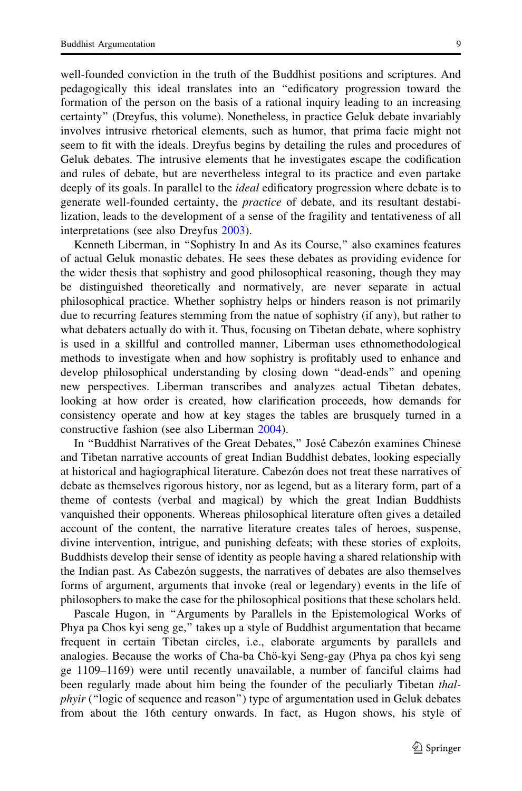well-founded conviction in the truth of the Buddhist positions and scriptures. And pedagogically this ideal translates into an ''edificatory progression toward the formation of the person on the basis of a rational inquiry leading to an increasing certainty'' (Dreyfus, this volume). Nonetheless, in practice Geluk debate invariably involves intrusive rhetorical elements, such as humor, that prima facie might not seem to fit with the ideals. Dreyfus begins by detailing the rules and procedures of Geluk debates. The intrusive elements that he investigates escape the codification and rules of debate, but are nevertheless integral to its practice and even partake deeply of its goals. In parallel to the *ideal* edificatory progression where debate is to generate well-founded certainty, the practice of debate, and its resultant destabilization, leads to the development of a sense of the fragility and tentativeness of all interpretations (see also Dreyfus [2003\)](#page-12-0).

Kenneth Liberman, in "Sophistry In and As its Course," also examines features of actual Geluk monastic debates. He sees these debates as providing evidence for the wider thesis that sophistry and good philosophical reasoning, though they may be distinguished theoretically and normatively, are never separate in actual philosophical practice. Whether sophistry helps or hinders reason is not primarily due to recurring features stemming from the natue of sophistry (if any), but rather to what debaters actually do with it. Thus, focusing on Tibetan debate, where sophistry is used in a skillful and controlled manner, Liberman uses ethnomethodological methods to investigate when and how sophistry is profitably used to enhance and develop philosophical understanding by closing down ''dead-ends'' and opening new perspectives. Liberman transcribes and analyzes actual Tibetan debates, looking at how order is created, how clarification proceeds, how demands for consistency operate and how at key stages the tables are brusquely turned in a constructive fashion (see also Liberman [2004](#page-12-0)).

In "Buddhist Narratives of the Great Debates," José Cabezón examines Chinese and Tibetan narrative accounts of great Indian Buddhist debates, looking especially at historical and hagiographical literature. Cabezón does not treat these narratives of debate as themselves rigorous history, nor as legend, but as a literary form, part of a theme of contests (verbal and magical) by which the great Indian Buddhists vanquished their opponents. Whereas philosophical literature often gives a detailed account of the content, the narrative literature creates tales of heroes, suspense, divine intervention, intrigue, and punishing defeats; with these stories of exploits, Buddhists develop their sense of identity as people having a shared relationship with the Indian past. As Cabezon suggests, the narratives of debates are also themselves forms of argument, arguments that invoke (real or legendary) events in the life of philosophers to make the case for the philosophical positions that these scholars held.

Pascale Hugon, in "Arguments by Parallels in the Epistemological Works of Phya pa Chos kyi seng ge," takes up a style of Buddhist argumentation that became frequent in certain Tibetan circles, i.e., elaborate arguments by parallels and analogies. Because the works of Cha-ba Chö-kyi Seng-gay (Phya pa chos kyi seng ge 1109–1169) were until recently unavailable, a number of fanciful claims had been regularly made about him being the founder of the peculiarly Tibetan *thal*phyir (''logic of sequence and reason'') type of argumentation used in Geluk debates from about the 16th century onwards. In fact, as Hugon shows, his style of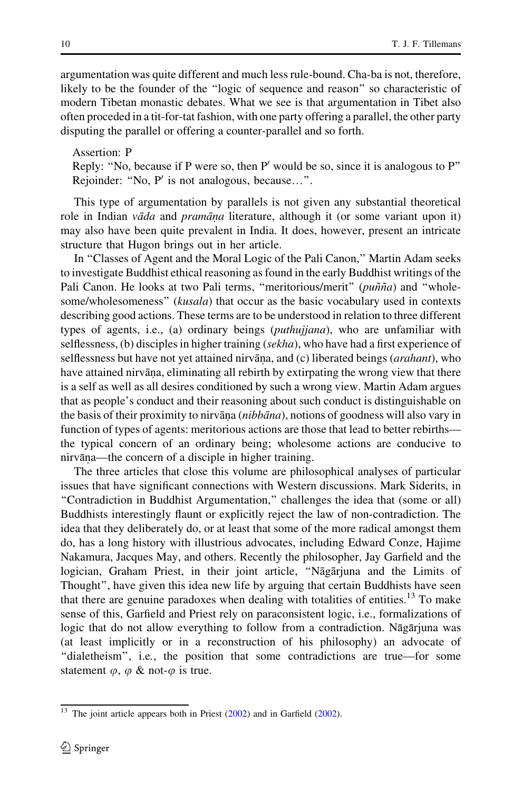argumentation was quite different and much less rule-bound. Cha-ba is not, therefore, likely to be the founder of the ''logic of sequence and reason'' so characteristic of modern Tibetan monastic debates. What we see is that argumentation in Tibet also often proceded in a tit-for-tat fashion, with one party offering a parallel, the other party disputing the parallel or offering a counter-parallel and so forth.

Assertion: P

Reply: "No, because if P were so, then P' would be so, since it is analogous to P" Rejoinder: "No,  $P'$  is not analogous, because...".

This type of argumentation by parallels is not given any substantial theoretical role in Indian vada and *pramana* literature, although it (or some variant upon it) may also have been quite prevalent in India. It does, however, present an intricate structure that Hugon brings out in her article.

In ''Classes of Agent and the Moral Logic of the Pali Canon,'' Martin Adam seeks to investigate Buddhist ethical reasoning as found in the early Buddhist writings of the Pali Canon. He looks at two Pali terms, "meritorious/merit" (puñña) and "wholesome/wholesomeness" (kusala) that occur as the basic vocabulary used in contexts describing good actions. These terms are to be understood in relation to three different types of agents, i.e., (a) ordinary beings (puthujjana), who are unfamiliar with selflessness, (b) disciples in higher training (*sekha*), who have had a first experience of selflessness but have not yet attained nirvana, and (c) liberated beings (*arahant*), who have attained nirvana, eliminating all rebirth by extirpating the wrong view that there is a self as well as all desires conditioned by such a wrong view. Martin Adam argues that as people's conduct and their reasoning about such conduct is distinguishable on the basis of their proximity to nirvana *(nibbana)*, notions of goodness will also vary in function of types of agents: meritorious actions are those that lead to better rebirths the typical concern of an ordinary being; wholesome actions are conducive to nirvāna—the concern of a disciple in higher training.

The three articles that close this volume are philosophical analyses of particular issues that have significant connections with Western discussions. Mark Siderits, in ''Contradiction in Buddhist Argumentation,'' challenges the idea that (some or all) Buddhists interestingly flaunt or explicitly reject the law of non-contradiction. The idea that they deliberately do, or at least that some of the more radical amongst them do, has a long history with illustrious advocates, including Edward Conze, Hajime Nakamura, Jacques May, and others. Recently the philosopher, Jay Garfield and the logician, Graham Priest, in their joint article, "Nagarjuna and the Limits of Thought'', have given this idea new life by arguing that certain Buddhists have seen that there are genuine paradoxes when dealing with totalities of entities.<sup>13</sup> To make sense of this, Garfield and Priest rely on paraconsistent logic, i.e., formalizations of logic that do not allow everything to follow from a contradiction. Nagarjuna was (at least implicitly or in a reconstruction of his philosophy) an advocate of ''dialetheism'', i.e., the position that some contradictions are true—for some statement  $\varphi$ ,  $\varphi$  & not- $\varphi$  is true.

 $13$  The joint article appears both in Priest [\(2002](#page-13-0)) and in Garfield ([2002\)](#page-12-0).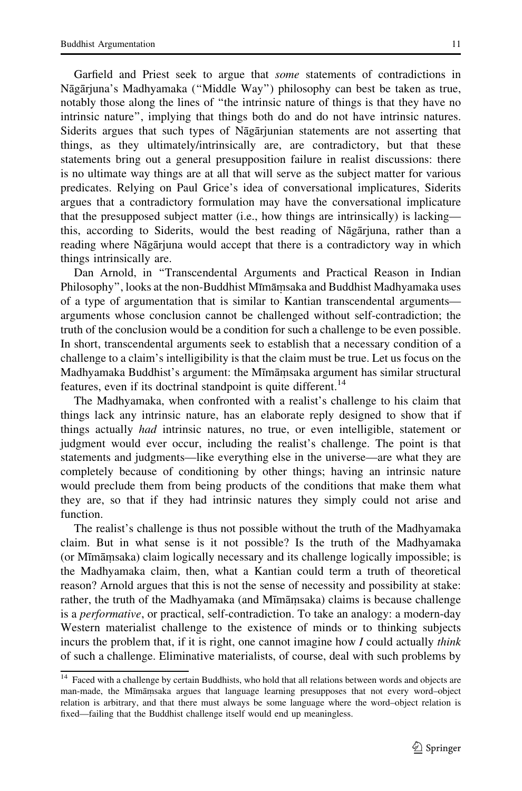Garfield and Priest seek to argue that some statements of contradictions in Nāgārjuna's Madhyamaka ("Middle Way") philosophy can best be taken as true, notably those along the lines of ''the intrinsic nature of things is that they have no intrinsic nature'', implying that things both do and do not have intrinsic natures. Siderits argues that such types of Nagariunian statements are not asserting that things, as they ultimately/intrinsically are, are contradictory, but that these statements bring out a general presupposition failure in realist discussions: there is no ultimate way things are at all that will serve as the subject matter for various predicates. Relying on Paul Grice's idea of conversational implicatures, Siderits argues that a contradictory formulation may have the conversational implicature that the presupposed subject matter (i.e., how things are intrinsically) is lacking this, according to Siderits, would the best reading of Nagariuna, rather than a reading where Nāgārjuna would accept that there is a contradictory way in which things intrinsically are.

Dan Arnold, in ''Transcendental Arguments and Practical Reason in Indian Philosophy", looks at the non-Buddhist Mīmāmsaka and Buddhist Madhyamaka uses of a type of argumentation that is similar to Kantian transcendental arguments arguments whose conclusion cannot be challenged without self-contradiction; the truth of the conclusion would be a condition for such a challenge to be even possible. In short, transcendental arguments seek to establish that a necessary condition of a challenge to a claim's intelligibility is that the claim must be true. Let us focus on the Madhyamaka Buddhist's argument: the Mīmāmsaka argument has similar structural features, even if its doctrinal standpoint is quite different.<sup>14</sup>

The Madhyamaka, when confronted with a realist's challenge to his claim that things lack any intrinsic nature, has an elaborate reply designed to show that if things actually had intrinsic natures, no true, or even intelligible, statement or judgment would ever occur, including the realist's challenge. The point is that statements and judgments—like everything else in the universe—are what they are completely because of conditioning by other things; having an intrinsic nature would preclude them from being products of the conditions that make them what they are, so that if they had intrinsic natures they simply could not arise and function.

The realist's challenge is thus not possible without the truth of the Madhyamaka claim. But in what sense is it not possible? Is the truth of the Madhyamaka (or Mīmāmsaka) claim logically necessary and its challenge logically impossible; is the Madhyamaka claim, then, what a Kantian could term a truth of theoretical reason? Arnold argues that this is not the sense of necessity and possibility at stake: rather, the truth of the Madhyamaka (and Mīmāmsaka) claims is because challenge is a *performative*, or practical, self-contradiction. To take an analogy: a modern-day Western materialist challenge to the existence of minds or to thinking subjects incurs the problem that, if it is right, one cannot imagine how I could actually *think* of such a challenge. Eliminative materialists, of course, deal with such problems by

<sup>&</sup>lt;sup>14</sup> Faced with a challenge by certain Buddhists, who hold that all relations between words and objects are man-made, the Mīmāmsaka argues that language learning presupposes that not every word-object relation is arbitrary, and that there must always be some language where the word–object relation is fixed—failing that the Buddhist challenge itself would end up meaningless.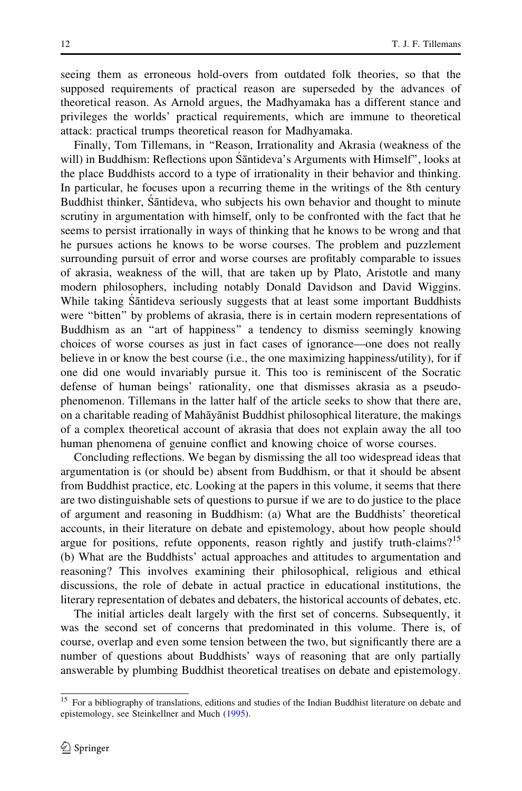seeing them as erroneous hold-overs from outdated folk theories, so that the supposed requirements of practical reason are superseded by the advances of theoretical reason. As Arnold argues, the Madhyamaka has a different stance and privileges the worlds' practical requirements, which are immune to theoretical attack: practical trumps theoretical reason for Madhyamaka.

Finally, Tom Tillemans, in ''Reason, Irrationality and Akrasia (weakness of the will) in Buddhism: Reflections upon Sāntideva's Arguments with Himself", looks at the place Buddhists accord to a type of irrationality in their behavior and thinking. In particular, he focuses upon a recurring theme in the writings of the 8th century Buddhist thinker, Santideva, who subjects his own behavior and thought to minute scrutiny in argumentation with himself, only to be confronted with the fact that he seems to persist irrationally in ways of thinking that he knows to be wrong and that he pursues actions he knows to be worse courses. The problem and puzzlement surrounding pursuit of error and worse courses are profitably comparable to issues of akrasia, weakness of the will, that are taken up by Plato, Aristotle and many modern philosophers, including notably Donald Davidson and David Wiggins. While taking Santideva seriously suggests that at least some important Buddhists were ''bitten'' by problems of akrasia, there is in certain modern representations of Buddhism as an ''art of happiness'' a tendency to dismiss seemingly knowing choices of worse courses as just in fact cases of ignorance—one does not really believe in or know the best course (i.e., the one maximizing happiness/utility), for if one did one would invariably pursue it. This too is reminiscent of the Socratic defense of human beings' rationality, one that dismisses akrasia as a pseudophenomenon. Tillemans in the latter half of the article seeks to show that there are, on a charitable reading of Mahavanist Buddhist philosophical literature, the makings of a complex theoretical account of akrasia that does not explain away the all too human phenomena of genuine conflict and knowing choice of worse courses.

Concluding reflections. We began by dismissing the all too widespread ideas that argumentation is (or should be) absent from Buddhism, or that it should be absent from Buddhist practice, etc. Looking at the papers in this volume, it seems that there are two distinguishable sets of questions to pursue if we are to do justice to the place of argument and reasoning in Buddhism: (a) What are the Buddhists' theoretical accounts, in their literature on debate and epistemology, about how people should argue for positions, refute opponents, reason rightly and justify truth-claims?<sup>15</sup> (b) What are the Buddhists' actual approaches and attitudes to argumentation and reasoning? This involves examining their philosophical, religious and ethical discussions, the role of debate in actual practice in educational institutions, the literary representation of debates and debaters, the historical accounts of debates, etc.

The initial articles dealt largely with the first set of concerns. Subsequently, it was the second set of concerns that predominated in this volume. There is, of course, overlap and even some tension between the two, but significantly there are a number of questions about Buddhists' ways of reasoning that are only partially answerable by plumbing Buddhist theoretical treatises on debate and epistemology.

 $\frac{15}{15}$  For a bibliography of translations, editions and studies of the Indian Buddhist literature on debate and epistemology, see Steinkellner and Much ([1995\)](#page-13-0).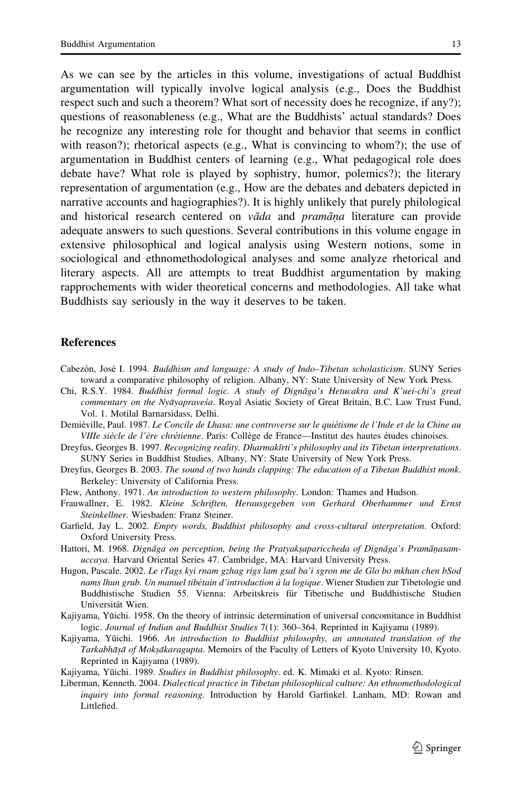<span id="page-12-0"></span>As we can see by the articles in this volume, investigations of actual Buddhist argumentation will typically involve logical analysis (e.g., Does the Buddhist respect such and such a theorem? What sort of necessity does he recognize, if any?); questions of reasonableness (e.g., What are the Buddhists' actual standards? Does he recognize any interesting role for thought and behavior that seems in conflict with reason?); rhetorical aspects (e.g., What is convincing to whom?); the use of argumentation in Buddhist centers of learning (e.g., What pedagogical role does debate have? What role is played by sophistry, humor, polemics?); the literary representation of argumentation (e.g., How are the debates and debaters depicted in narrative accounts and hagiographies?). It is highly unlikely that purely philological and historical research centered on  $\overline{v}$  and prama $\overline{a}$  literature can provide adequate answers to such questions. Several contributions in this volume engage in extensive philosophical and logical analysis using Western notions, some in sociological and ethnomethodological analyses and some analyze rhetorical and literary aspects. All are attempts to treat Buddhist argumentation by making rapprochements with wider theoretical concerns and methodologies. All take what Buddhists say seriously in the way it deserves to be taken.

## References

- Cabezón, José I. 1994. Buddhism and language: A study of Indo-Tibetan scholasticism. SUNY Series toward a comparative philosophy of religion. Albany, NY: State University of New York Press.
- Chi, R.S.Y. 1984. Buddhist formal logic. A study of Dignaga's Hetucakra and K'uei-chi's great commentary on the Nyayapravesa. Royal Asiatic Society of Great Britain, B.C. Law Trust Fund, Vol. 1. Motilal Barnarsidass, Delhi.
- Demiéville, Paul. 1987. Le Concile de Lhasa: une controverse sur le quiétisme de l'Inde et de la Chine au VIIIe siècle de l'ère chrétienne. Paris: Collège de France—Institut des hautes études chinoises.
- Dreyfus, Georges B. 1997. Recognizing reality. Dharmakīrti's philosophy and its Tibetan interpretations. SUNY Series in Buddhist Studies. Albany, NY: State University of New York Press.
- Dreyfus, Georges B. 2003. The sound of two hands clapping: The education of a Tibetan Buddhist monk. Berkeley: University of California Press.
- Flew, Anthony. 1971. An introduction to western philosophy. London: Thames and Hudson.
- Frauwallner, E. 1982. Kleine Schriften, Herausgegeben von Gerhard Oberhammer und Ernst Steinkellner. Wiesbaden: Franz Steiner.
- Garfield, Jay L. 2002. Empty words, Buddhist philosophy and cross-cultural interpretation. Oxford: Oxford University Press.
- Hattori, M. 1968. Dignāga on perception, being the Pratyaksapariccheda of Dignāga's Pramāņasamuccaya. Harvard Oriental Series 47. Cambridge, MA: Harvard University Press.
- Hugon, Pascale. 2002. Le rTags kyi rnam gzhag rigs lam gsal ba'i sgron me de Glo bo mkhan chen bSod nams lhun grub. Un manuel tibétain d'introduction à la logique. Wiener Studien zur Tibetologie und Buddhistische Studien 55. Vienna: Arbeitskreis für Tibetische und Buddhistische Studien Universität Wien.
- Kajiyama, Yūichi. 1958. On the theory of intrinsic determination of universal concomitance in Buddhist logic. Journal of Indian and Buddhist Studies 7(1): 360–364. Reprinted in Kajiyama (1989).
- Kajiyama, Yūichi. 1966. An introduction to Buddhist philosophy, an annotated translation of the Tarkabhāsā of Moksākaragupta. Memoirs of the Faculty of Letters of Kyoto University 10, Kyoto. Reprinted in Kajiyama (1989).
- Kajiyama, Yūichi. 1989. Studies in Buddhist philosophy. ed. K. Mimaki et al. Kyoto: Rinsen.
- Liberman, Kenneth. 2004. Dialectical practice in Tibetan philosophical culture: An ethnomethodological inquiry into formal reasoning. Introduction by Harold Garfinkel. Lanham, MD: Rowan and Littlefied.